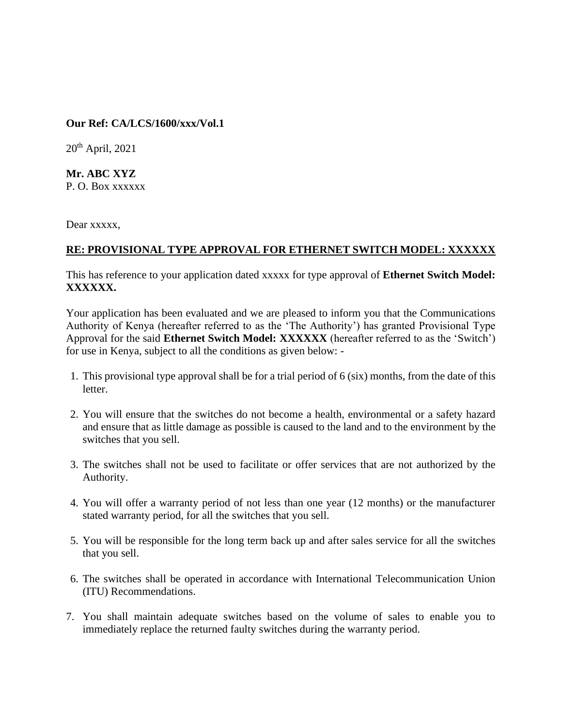## **Our Ref: CA/LCS/1600/xxx/Vol.1**

 $20<sup>th</sup>$  April,  $2021$ 

**Mr. ABC XYZ**  P. O. Box xxxxxx

Dear xxxxx,

## **RE: PROVISIONAL TYPE APPROVAL FOR ETHERNET SWITCH MODEL: XXXXXX**

This has reference to your application dated xxxxx for type approval of **Ethernet Switch Model: XXXXXX.**

Your application has been evaluated and we are pleased to inform you that the Communications Authority of Kenya (hereafter referred to as the 'The Authority') has granted Provisional Type Approval for the said **Ethernet Switch Model: XXXXXX** (hereafter referred to as the 'Switch') for use in Kenya, subject to all the conditions as given below: -

- 1. This provisional type approval shall be for a trial period of 6 (six) months, from the date of this letter.
- 2. You will ensure that the switches do not become a health, environmental or a safety hazard and ensure that as little damage as possible is caused to the land and to the environment by the switches that you sell.
- 3. The switches shall not be used to facilitate or offer services that are not authorized by the Authority.
- 4. You will offer a warranty period of not less than one year (12 months) or the manufacturer stated warranty period, for all the switches that you sell.
- 5. You will be responsible for the long term back up and after sales service for all the switches that you sell.
- 6. The switches shall be operated in accordance with International Telecommunication Union (ITU) Recommendations.
- 7. You shall maintain adequate switches based on the volume of sales to enable you to immediately replace the returned faulty switches during the warranty period.